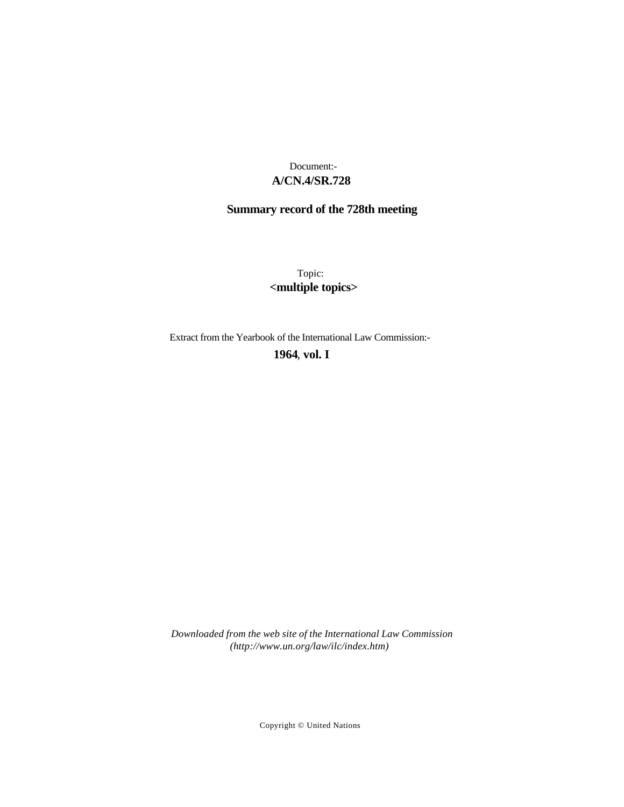## **A/CN.4/SR.728** Document:-

# **Summary record of the 728th meeting**

Topic: **<multiple topics>**

Extract from the Yearbook of the International Law Commission:-

**1964** , **vol. I**

*Downloaded from the web site of the International Law Commission (http://www.un.org/law/ilc/index.htm)*

Copyright © United Nations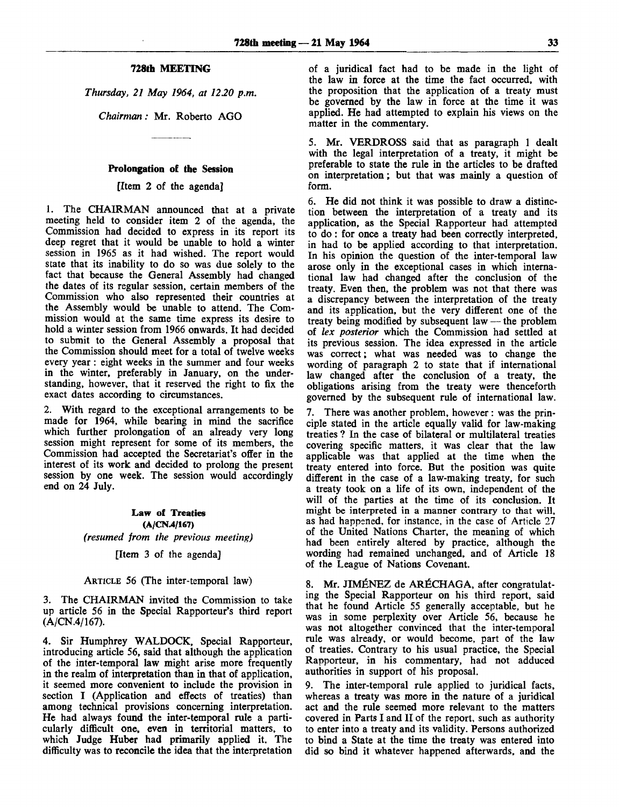#### **728th** MEETING

*Thursday, 21 May 1964, at 12.20 p.m.*

*Chairman:* Mr. Roberto AGO

#### Prolongation of **the** Session

[Item 2 of the agenda]

1. The CHAIRMAN announced that at a private meeting held to consider item 2 of the agenda, the Commission had decided to express in its report its deep regret that it would be unable to hold a winter session in 1965 as it had wished. The report would state that its inability to do so was due solely to the fact that because the General Assembly had changed the dates of its regular session, certain members of the Commission who also represented their countries at the Assembly would be unable to attend. The Commission would at the same time express its desire to hold a winter session from 1966 onwards. It had decided to submit to the General Assembly a proposal that the Commission should meet for a total of twelve weeks every year: eight weeks in the summer and four weeks in the winter, preferably in January, on the understanding, however, that it reserved the right to fix the exact dates according to circumstances.

2. With regard to the exceptional arrangements to be made for 1964, while bearing in mind the sacrifice which further prolongation of an already very long session might represent for some of its members, the Commission had accepted the Secretariat's offer in the interest of its work and decided to prolong the present session by one week. The session would accordingly end on 24 July.

> Law of Treaties **(A/CN.4/167)** *(resumed from the previous meeting)* [Item 3 of the agenda]

### ARTICLE 56 (The inter-temporal law)

3. The CHAIRMAN invited the Commission to take up article 56 in the Special Rapporteur's third report (A/CN.4/167).

4. Sir Humphrey WALDOCK, Special Rapporteur, introducing article 56, said that although the application of the inter-temporal law might arise more frequently in the realm of interpretation than in that of application, it seemed more convenient to include the provision in section I (Application and effects of treaties) than among technical provisions concerning interpretation. He had always found the inter-temporal rule a particularly difficult one, even in territorial matters, to which Judge Huber had primarily applied it. The difficulty was to reconcile the idea that the interpretation

of a juridical fact had to be made in the light of the law in force at the time the fact occurred, with the proposition that the application of a treaty must be governed by the law in force at the time it was applied. He had attempted to explain his views on the matter in the commentary.

5. Mr. VERDROSS said that as paragraph 1 dealt with the legal interpretation of a treaty, it might be preferable to state the rule in the articles to be drafted on interpretation; but that was mainly a question of form.

6. He did not think it was possible to draw a distinction between the interpretation of a treaty and its application, as the Special Rapporteur had attempted to do : for once a treaty had been correctly interpreted, in had to be applied according to that interpretation. In his opinion the question of the inter-temporal law arose only in the exceptional cases in which international law had changed after the conclusion of the treaty. Even then, the problem was not that there was a discrepancy between the interpretation of the treaty and its application, but the very different one of the treaty being modified by subsequent law — the problem of *lex posterior* which the Commission had settled at its previous session. The idea expressed in the article was correct; what was needed was to change the wording of paragraph 2 to state that if international law changed after the conclusion of a treaty, the obligations arising from the treaty were thenceforth governed by the subsequent rule of international law.

7. There was another problem, however: was the principle stated in the article equally valid for law-making treaties ? In the case of bilateral or multilateral treaties covering specific matters, it was clear that the law applicable was that applied at the time when the treaty entered into force. But the position was quite different in the case of a law-making treaty, for such a treaty took on a life of its own, independent of the will of the parties at the time of its conclusion. It might be interpreted in a manner contrary to that will, as had happened, for instance, in the case of Article 27 of the United Nations Charter, the meaning of which had been entirely altered by practice, although the wording had remained unchanged, and of Article 18 of the League of Nations Covenant.

8. Mr. JIMÉNEZ de ARÉCHAGA, after congratulating the Special Rapporteur on his third report, said that he found Article 55 generally acceptable, but he was in some perplexity over Article 56, because he was not altogether convinced that the inter-temporal rule was already, or would become, part of the law of treaties. Contrary to his usual practice, the Special Rapporteur, in his commentary, had not adduced authorities in support of his proposal.

9. The inter-temporal rule applied to juridical facts, whereas a treaty was more in the nature of a juridical act and the rule seemed more relevant to the matters covered in Parts I and II of the report, such as authority to enter into a treaty and its validity. Persons authorized to bind a State at the time the treaty was entered into did so bind it whatever happened afterwards, and the